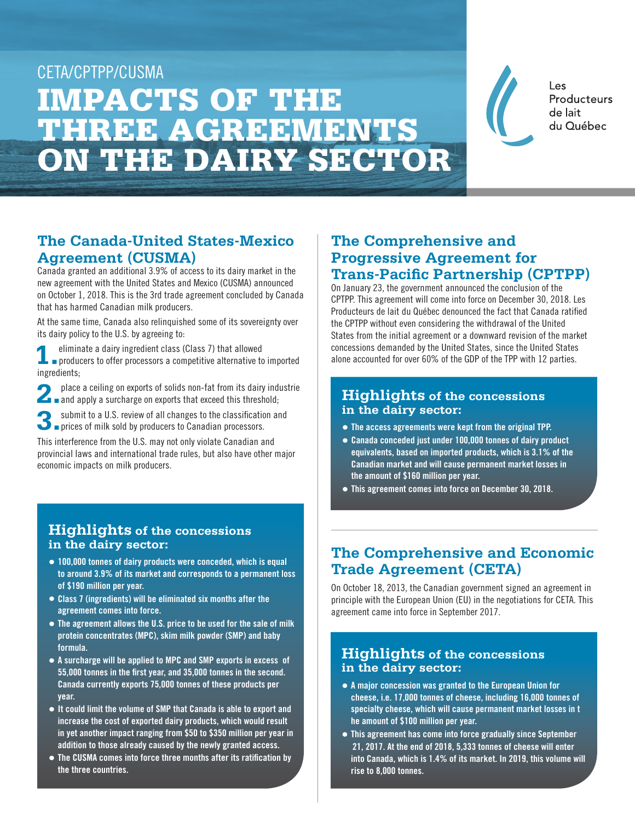# IMPACTS OF THE THREE AGREEMENTS ON THE DAIRY SECTOR CETA/CPTPP/CUSMA

Les Producteurs de lait du Québec

### **The Canada-United States-Mexico Agreement (CUSMA)**

Canada granted an additional 3.9% of access to its dairy market in the new agreement with the United States and Mexico (CUSMA) announced on October 1, 2018. This is the 3rd trade agreement concluded by Canada that has harmed Canadian milk producers.

At the same time, Canada also relinquished some of its sovereignty over its dairy policy to the U.S. by agreeing to:

**1.**eliminate a dairy ingredient class (Class 7) that allowed **producers to offer processors a competitive alternative to imported** ingredients;

**2.** place a ceiling on exports of solids non-fat from its dairy industrie and apply a surcharge on exports that exceed this threshold;

**3.** submit to a U.S. review of all changes to the classification and **D** prices of milk sold by producers to Canadian processors.

This interference from the U.S. may not only violate Canadian and provincial laws and international trade rules, but also have other major economic impacts on milk producers.

#### **Highlights of the concessions in the dairy sector:**

- **• 100,000 tonnes of dairy products were conceded, which is equal to around 3.9% of its market and corresponds to a permanent loss of \$190 million per year.**
- **• Class 7 (ingredients) will be eliminated six months after the agreement comes into force.**
- **• The agreement allows the U.S. price to be used for the sale of milk protein concentrates (MPC), skim milk powder (SMP) and baby formula.**
- **• A surcharge will be applied to MPC and SMP exports in excess of 55,000 tonnes in the first year, and 35,000 tonnes in the second. Canada currently exports 75,000 tonnes of these products per year.**
- **• It could limit the volume of SMP that Canada is able to export and increase the cost of exported dairy products, which would result in yet another impact ranging from \$50 to \$350 million per year in addition to those already caused by the newly granted access.**
- **• The CUSMA comes into force three months after its ratification by the three countries.**

# **The Comprehensive and Progressive Agreement for Trans-Pacific Partnership (CPTPP)**

On January 23, the government announced the conclusion of the CPTPP. This agreement will come into force on December 30, 2018. Les Producteurs de lait du Québec denounced the fact that Canada ratified the CPTPP without even considering the withdrawal of the United States from the initial agreement or a downward revision of the market concessions demanded by the United States, since the United States alone accounted for over 60% of the GDP of the TPP with 12 parties.

#### **Highlights of the concessions in the dairy sector:**

- **• The access agreements were kept from the original TPP.**
- **• Canada conceded just under 100,000 tonnes of dairy product equivalents, based on imported products, which is 3.1% of the Canadian market and will cause permanent market losses in the amount of \$160 million per year.**
- **• This agreement comes into force on December 30, 2018.**

# **The Comprehensive and Economic Trade Agreement (CETA)**

On October 18, 2013, the Canadian government signed an agreement in principle with the European Union (EU) in the negotiations for CETA. This agreement came into force in September 2017.

#### **Highlights of the concessions in the dairy sector:**

- **• A major concession was granted to the European Union for cheese, i.e. 17,000 tonnes of cheese, including 16,000 tonnes of specialty cheese, which will cause permanent market losses in t he amount of \$100 million per year.**
- **• This agreement has come into force gradually since September 21, 2017. At the end of 2018, 5,333 tonnes of cheese will enter into Canada, which is 1.4% of its market. In 2019, this volume will rise to 8,000 tonnes.**